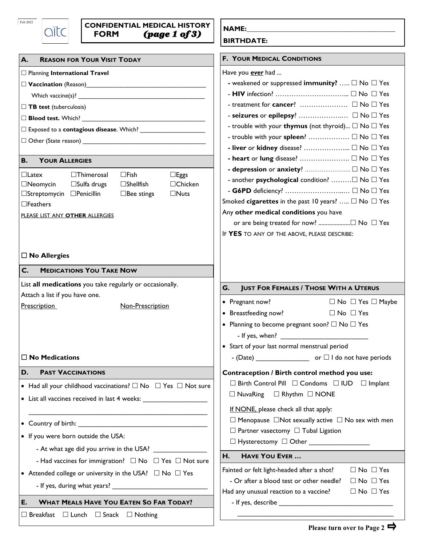| Feb 2022 |  |
|----------|--|
|          |  |

|             | <b>CONFIDENTIAL MEDICAL HISTORY</b> | NAME:             |
|-------------|-------------------------------------|-------------------|
| <b>FORM</b> | (page 1 of 3)                       | <b>DIDTURATE.</b> |

| <b>A.</b><br><b>REASON FOR YOUR VISIT TODAY</b>                                      | <b>F. YOUR MEDICAL CONDITIONS</b>                                                                                                      |
|--------------------------------------------------------------------------------------|----------------------------------------------------------------------------------------------------------------------------------------|
| □ Planning International Travel                                                      | Have you ever had                                                                                                                      |
|                                                                                      | - weakened or suppressed immunity? $\Box$ No $\Box$ Yes                                                                                |
|                                                                                      |                                                                                                                                        |
| $\Box$ TB test (tuberculosis)                                                        |                                                                                                                                        |
|                                                                                      |                                                                                                                                        |
| □ Exposed to a <b>contagious disease</b> . Which? <u>______________________</u>      | - trouble with your thymus (not thyroid) $\Box$ No $\Box$ Yes                                                                          |
|                                                                                      | - trouble with your spleen?  I No I Yes                                                                                                |
|                                                                                      |                                                                                                                                        |
| <b>YOUR ALLERGIES</b><br><b>B.</b>                                                   |                                                                                                                                        |
| $\Box$ Fish<br>$\Box$ Latex<br>$\Box$ Thimerosal<br>$\Box$ Eggs                      |                                                                                                                                        |
| $\Box$ Sulfa drugs<br>$\square$ Shellfish<br>□Chicken<br>$\Box$ Neomycin             | - another <b>psychological</b> condition? <sub>D</sub> No  I Yes                                                                       |
| □Streptomycin □Penicillin<br>$\Box$ Nuts<br>$\Box$ Bee stings                        | - G6PD deficiency?  □ No □ Yes                                                                                                         |
| $\Box$ Feathers                                                                      | Smoked cigarettes in the past 10 years? $\Box$ No $\Box$ Yes                                                                           |
| PLEASE LIST ANY OTHER ALLERGIES                                                      | Any other medical conditions you have                                                                                                  |
|                                                                                      | or are being treated for now? □ No □ Yes                                                                                               |
|                                                                                      | IF YES TO ANY OF THE ABOVE, PLEASE DESCRIBE:                                                                                           |
|                                                                                      |                                                                                                                                        |
| $\Box$ No Allergies                                                                  |                                                                                                                                        |
| <b>MEDICATIONS YOU TAKE NOW</b><br>C.                                                |                                                                                                                                        |
| List all medications you take regularly or occasionally.                             | G.<br><b>JUST FOR FEMALES / THOSE WITH A UTERUS</b>                                                                                    |
| Attach a list if you have one.                                                       |                                                                                                                                        |
| Prescription<br>Non-Prescription                                                     | Pregnant now?<br>$\Box$ No $\Box$ Yes $\Box$ Maybe<br>$\bullet$                                                                        |
|                                                                                      | Breastfeeding now?<br>$\Box$ No $\Box$ Yes<br>$\bullet$                                                                                |
|                                                                                      | • Planning to become pregnant soon? $\Box$ No $\Box$ Yes                                                                               |
|                                                                                      |                                                                                                                                        |
|                                                                                      | • Start of your last normal menstrual period                                                                                           |
| $\Box$ No Medications                                                                |                                                                                                                                        |
| D.<br><b>PAST VACCINATIONS</b>                                                       | Contraception / Birth control method you use:                                                                                          |
| • Had all your childhood vaccinations? $\square$ No $\square$ Yes $\square$ Not sure | $\Box$ Birth Control Pill $\Box$ Condoms $\Box$ IUD $\Box$ Implant                                                                     |
| • List all vaccines received in last 4 weeks: __________________________________     | $\Box$ NuvaRing $\Box$ Rhythm $\Box$ NONE                                                                                              |
|                                                                                      | If NONE, please check all that apply:                                                                                                  |
|                                                                                      | $\Box$ Menopause $\Box$ Not sexually active $\Box$ No sex with men                                                                     |
|                                                                                      | $\Box$ Partner vasectomy $\Box$ Tubal Ligation                                                                                         |
| • If you were born outside the USA:                                                  | $\square$ Hysterectomy $\;\square\;$ Other __________________                                                                          |
|                                                                                      | H.<br><b>HAVE YOU EVER </b>                                                                                                            |
| - Had vaccines for immigration? $\Box$ No $\Box$ Yes $\Box$ Not sure                 |                                                                                                                                        |
| • Attended college or university in the USA? $\Box$ No $\Box$ Yes                    | Fainted or felt light-headed after a shot?<br>$\Box$ No $\Box$ Yes<br>- Or after a blood test or other needle?<br>$\Box$ No $\Box$ Yes |
|                                                                                      | Had any unusual reaction to a vaccine?<br>$\Box$ No $\Box$ Yes                                                                         |
| <b>WHAT MEALS HAVE YOU EATEN SO FAR TODAY?</b><br>E.                                 |                                                                                                                                        |
| $\Box$ Breakfast $\Box$ Lunch $\Box$ Snack $\Box$ Nothing                            |                                                                                                                                        |
|                                                                                      |                                                                                                                                        |

**BIRTHDATE:**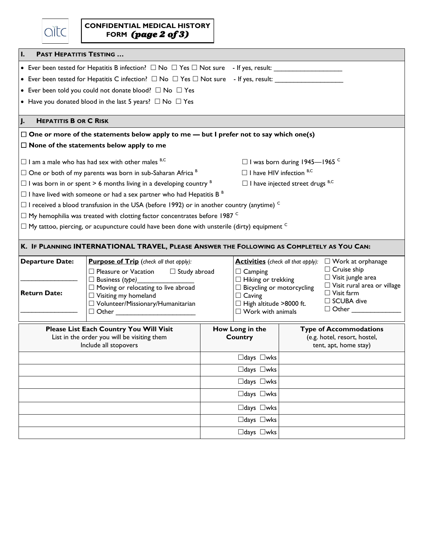| <b>PAST HEPATITIS TESTING </b><br>I. |                                                                                                              |                                                   |                                                                    |  |  |  |  |
|--------------------------------------|--------------------------------------------------------------------------------------------------------------|---------------------------------------------------|--------------------------------------------------------------------|--|--|--|--|
|                                      |                                                                                                              |                                                   |                                                                    |  |  |  |  |
|                                      | • Ever been tested for Hepatitis C infection? $\Box$ No $\Box$ Yes $\Box$ Not sure - If yes, result:         |                                                   |                                                                    |  |  |  |  |
|                                      | • Ever been told you could not donate blood? $\Box$ No $\Box$ Yes                                            |                                                   |                                                                    |  |  |  |  |
|                                      | • Have you donated blood in the last 5 years? $\Box$ No $\Box$ Yes                                           |                                                   |                                                                    |  |  |  |  |
|                                      |                                                                                                              |                                                   |                                                                    |  |  |  |  |
| <b>HEPATITIS B OR C RISK</b>         |                                                                                                              |                                                   |                                                                    |  |  |  |  |
|                                      | $\Box$ One or more of the statements below apply to me — but I prefer not to say which one(s)                |                                                   |                                                                    |  |  |  |  |
|                                      | $\Box$ None of the statements below apply to me                                                              |                                                   |                                                                    |  |  |  |  |
|                                      | $\Box$ I am a male who has had sex with other males $B, C$                                                   |                                                   | $\Box$ I was born during 1945—1965 $\degree$                       |  |  |  |  |
|                                      | $\Box$ One or both of my parents was born in sub-Saharan Africa $B$                                          | $\Box$ I have HIV infection $B, C$                |                                                                    |  |  |  |  |
|                                      | $\Box$ I was born in or spent > 6 months living in a developing country $B$                                  |                                                   | $\Box$ I have injected street drugs $B, C$                         |  |  |  |  |
|                                      | $\Box$ I have lived with someone or had a sex partner who had Hepatitis B <sup>B</sup>                       |                                                   |                                                                    |  |  |  |  |
|                                      | $\Box$ I received a blood transfusion in the USA (before 1992) or in another country (anytime) $^\mathsf{C}$ |                                                   |                                                                    |  |  |  |  |
|                                      | $\Box$ My hemophilia was treated with clotting factor concentrates before 1987 $^\circ$                      |                                                   |                                                                    |  |  |  |  |
|                                      | $\Box$ My tattoo, piercing, or acupuncture could have been done with unsterile (dirty) equipment $^{\circ}$  |                                                   |                                                                    |  |  |  |  |
|                                      |                                                                                                              |                                                   |                                                                    |  |  |  |  |
|                                      | K. IF PLANNING INTERNATIONAL TRAVEL, PLEASE ANSWER THE FOLLOWING AS COMPLETELY AS YOU CAN:                   |                                                   |                                                                    |  |  |  |  |
| <b>Departure Date:</b>               | <b>Purpose of Trip</b> (check all that apply):                                                               |                                                   | <b>Activities</b> (check all that apply): $\Box$ Work at orphanage |  |  |  |  |
|                                      | $\Box$ Pleasure or Vacation $\Box$ Study abroad                                                              | $\Box$ Camping                                    | $\Box$ Cruise ship                                                 |  |  |  |  |
|                                      | $\Box$ Business (type)                                                                                       | $\Box$ Hiking or trekking                         | $\Box$ Visit jungle area<br>$\Box$ Visit rural area or village     |  |  |  |  |
| <b>Return Date:</b>                  | $\Box$ Moving or relocating to live abroad<br>$\Box$ Visiting my homeland                                    | $\Box$ Bicycling or motorcycling<br>$\Box$ Caving | $\Box$ Visit farm                                                  |  |  |  |  |
|                                      | $\Box$ Volunteer/Missionary/Humanitarian                                                                     | $\Box$ High altitude >8000 ft.                    | □ SCUBA dive                                                       |  |  |  |  |
|                                      | $\Box$ Other                                                                                                 | $\Box$ Work with animals                          | $\Box$ Other                                                       |  |  |  |  |
|                                      |                                                                                                              |                                                   |                                                                    |  |  |  |  |
|                                      | Please List Each Country You Will Visit<br>List in the order you will be visiting them                       | How Long in the<br>Country                        | <b>Type of Accommodations</b><br>(e.g. hotel, resort, hostel,      |  |  |  |  |
|                                      | Include all stopovers                                                                                        |                                                   | tent, apt, home stay)                                              |  |  |  |  |
|                                      |                                                                                                              | □days □wks                                        |                                                                    |  |  |  |  |
|                                      |                                                                                                              | □days □wks                                        |                                                                    |  |  |  |  |
|                                      |                                                                                                              | □days □wks                                        |                                                                    |  |  |  |  |
|                                      |                                                                                                              | □days □wks                                        |                                                                    |  |  |  |  |
|                                      |                                                                                                              | □days □wks                                        |                                                                    |  |  |  |  |
|                                      |                                                                                                              | □days □wks                                        |                                                                    |  |  |  |  |
|                                      |                                                                                                              | □days □wks                                        |                                                                    |  |  |  |  |